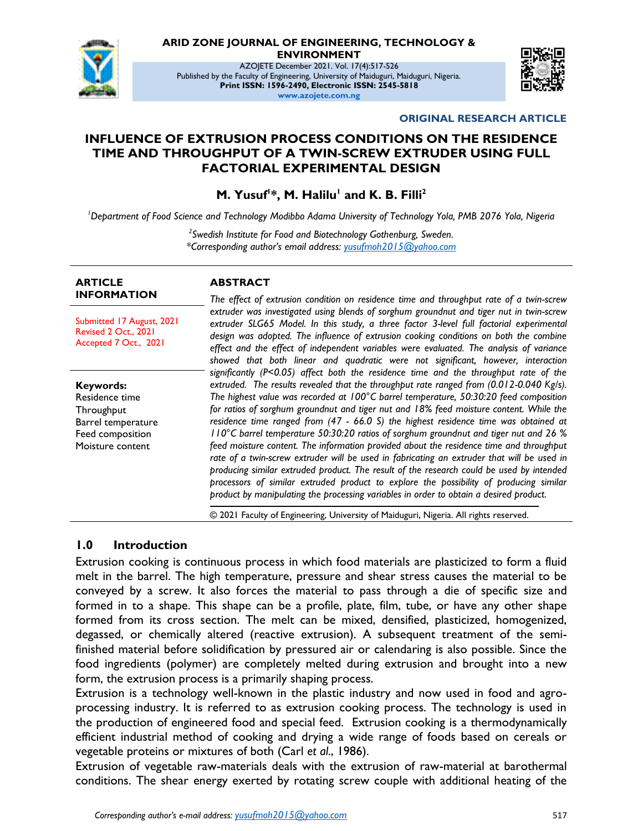

#### **ARID ZONE JOURNAL OF ENGINEERING, TECHNOLOGY & ENVIRONMENT**

AZOJETE December 2021. Vol. 17(4):517-526 Published by the Faculty of Engineering, University of Maiduguri, Maiduguri, Nigeria. **Print ISSN: 1596-2490, Electronic ISSN: 2545-5818 www.azojete.com.ng**



#### **ORIGINAL RESEARCH ARTICLE**

#### **INFLUENCE OF EXTRUSION PROCESS CONDITIONS ON THE RESIDENCE TIME AND THROUGHPUT OF A TWIN-SCREW EXTRUDER USING FULL FACTORIAL EXPERIMENTAL DESIGN**

**M. Yusuf<sup>1</sup> \*, M. Halilu<sup>1</sup> and K. B. Filli<sup>2</sup>**

*<sup>1</sup>Department of Food Science and Technology Modibbo Adama University of Technology Yola, PMB 2076 Yola, Nigeria*

*2 Swedish Institute for Food and Biotechnology Gothenburg, Sweden. \*Corresponding author's email address: <yusufmoh2015@yahoo.com>*

| <b>ARTICLE</b><br><b>INFORMATION</b>                                                                    | <b>ABSTRACT</b><br>The effect of extrusion condition on residence time and throughput rate of a twin-screw                                                                                                                                                                                                                                                                                                                                                                                                                                                                                                                                                                                                                                                                                                                                                                                                                                                                                                                       |
|---------------------------------------------------------------------------------------------------------|----------------------------------------------------------------------------------------------------------------------------------------------------------------------------------------------------------------------------------------------------------------------------------------------------------------------------------------------------------------------------------------------------------------------------------------------------------------------------------------------------------------------------------------------------------------------------------------------------------------------------------------------------------------------------------------------------------------------------------------------------------------------------------------------------------------------------------------------------------------------------------------------------------------------------------------------------------------------------------------------------------------------------------|
| Submitted 17 August, 2021<br>Revised 2 Oct., 2021<br>Accepted 7 Oct., 2021                              | extruder was investigated using blends of sorghum groundnut and tiger nut in twin-screw<br>extruder SLG65 Model. In this study, a three factor 3-level full factorial experimental<br>design was adopted. The influence of extrusion cooking conditions on both the combine<br>effect and the effect of independent variables were evaluated. The analysis of variance<br>showed that both linear and quadratic were not significant, however, interaction                                                                                                                                                                                                                                                                                                                                                                                                                                                                                                                                                                       |
| Keywords:<br>Residence time<br>Throughput<br>Barrel temperature<br>Feed composition<br>Moisture content | significantly ( $P < 0.05$ ) affect both the residence time and the throughput rate of the<br>extruded. The results revealed that the throughput rate ranged from (0.012-0.040 Kg/s).<br>The highest value was recorded at 100°C barrel temperature, 50:30:20 feed composition<br>for ratios of sorghum groundnut and tiger nut and 18% feed moisture content. While the<br>residence time ranged from (47 - 66.0 S) the highest residence time was obtained at<br>II0°C barrel temperature 50:30:20 ratios of sorghum groundnut and tiger nut and 26 %<br>feed moisture content. The information provided about the residence time and throughput<br>rate of a twin-screw extruder will be used in fabricating an extruder that will be used in<br>producing similar extruded product. The result of the research could be used by intended<br>processors of similar extruded product to explore the possibility of producing similar<br>product by manipulating the processing variables in order to obtain a desired product. |
|                                                                                                         | © 2021 Faculty of Engineering, University of Maiduguri, Nigeria. All rights reserved.                                                                                                                                                                                                                                                                                                                                                                                                                                                                                                                                                                                                                                                                                                                                                                                                                                                                                                                                            |

#### **1.0 Introduction**

Extrusion cooking is continuous process in which food materials are plasticized to form a fluid melt in the barrel. The high temperature, pressure and shear stress causes the material to be conveyed by a screw. It also forces the material to pass through a die of specific size and formed in to a shape. This shape can be a profile, plate, film, tube, or have any other shape formed from its cross section. The melt can be mixed, densified, plasticized, homogenized, degassed, or chemically altered (reactive extrusion). A subsequent treatment of the semifinished material before solidification by pressured air or calendaring is also possible. Since the food ingredients (polymer) are completely melted during extrusion and brought into a new form, the extrusion process is a primarily shaping process.

Extrusion is a technology well-known in the plastic industry and now used in food and agroprocessing industry. It is referred to as extrusion cooking process. The technology is used in the production of engineered food and special feed. Extrusion cooking is a thermodynamically efficient industrial method of cooking and drying a wide range of foods based on cereals or vegetable proteins or mixtures of both (Carl *et al*., 1986).

Extrusion of vegetable raw-materials deals with the extrusion of raw-material at barothermal conditions. The shear energy exerted by rotating screw couple with additional heating of the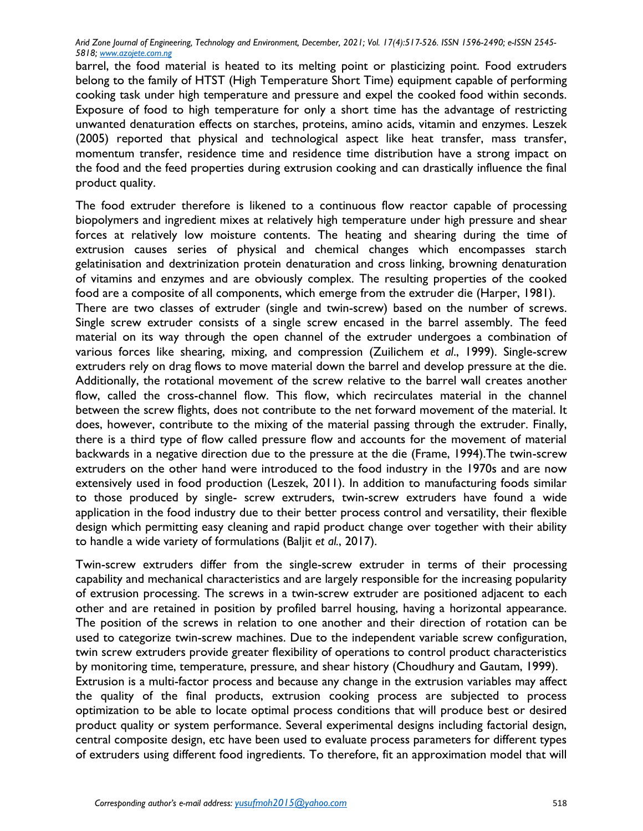barrel, the food material is heated to its melting point or plasticizing point. Food extruders belong to the family of HTST (High Temperature Short Time) equipment capable of performing cooking task under high temperature and pressure and expel the cooked food within seconds. Exposure of food to high temperature for only a short time has the advantage of restricting unwanted denaturation effects on starches, proteins, amino acids, vitamin and enzymes. Leszek (2005) reported that physical and technological aspect like heat transfer, mass transfer, momentum transfer, residence time and residence time distribution have a strong impact on the food and the feed properties during extrusion cooking and can drastically influence the final product quality.

The food extruder therefore is likened to a continuous flow reactor capable of processing biopolymers and ingredient mixes at relatively high temperature under high pressure and shear forces at relatively low moisture contents. The heating and shearing during the time of extrusion causes series of physical and chemical changes which encompasses starch gelatinisation and dextrinization protein denaturation and cross linking, browning denaturation of vitamins and enzymes and are obviously complex. The resulting properties of the cooked food are a composite of all components, which emerge from the extruder die (Harper, 1981).

There are two classes of extruder (single and twin-screw) based on the number of screws. Single screw extruder consists of a single screw encased in the barrel assembly. The feed material on its way through the open channel of the extruder undergoes a combination of various forces like shearing, mixing, and compression (Zuilichem *et al*., 1999). Single-screw extruders rely on drag flows to move material down the barrel and develop pressure at the die. Additionally, the rotational movement of the screw relative to the barrel wall creates another flow, called the cross-channel flow. This flow, which recirculates material in the channel between the screw flights, does not contribute to the net forward movement of the material. It does, however, contribute to the mixing of the material passing through the extruder. Finally, there is a third type of flow called pressure flow and accounts for the movement of material backwards in a negative direction due to the pressure at the die (Frame, 1994).The twin-screw extruders on the other hand were introduced to the food industry in the 1970s and are now extensively used in food production (Leszek, 2011). In addition to manufacturing foods similar to those produced by single- screw extruders, twin-screw extruders have found a wide application in the food industry due to their better process control and versatility, their flexible design which permitting easy cleaning and rapid product change over together with their ability to handle a wide variety of formulations (Baljit *et al.*, 2017).

Twin-screw extruders differ from the single-screw extruder in terms of their processing capability and mechanical characteristics and are largely responsible for the increasing popularity of extrusion processing. The screws in a twin-screw extruder are positioned adjacent to each other and are retained in position by profiled barrel housing, having a horizontal appearance. The position of the screws in relation to one another and their direction of rotation can be used to categorize twin-screw machines. Due to the independent variable screw configuration, twin screw extruders provide greater flexibility of operations to control product characteristics by monitoring time, temperature, pressure, and shear history (Choudhury and Gautam, 1999). Extrusion is a multi-factor process and because any change in the extrusion variables may affect the quality of the final products, extrusion cooking process are subjected to process optimization to be able to locate optimal process conditions that will produce best or desired product quality or system performance. Several experimental designs including factorial design, central composite design, etc have been used to evaluate process parameters for different types of extruders using different food ingredients. To therefore, fit an approximation model that will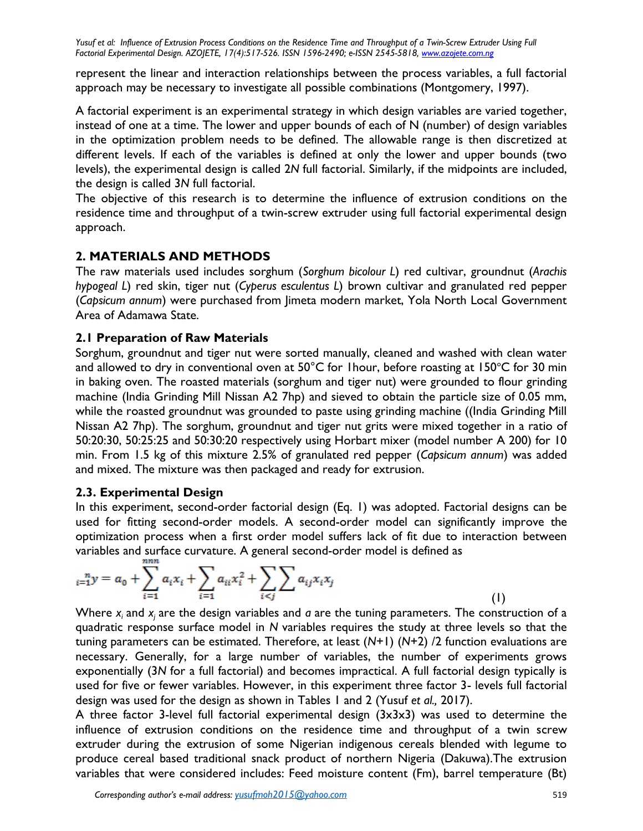represent the linear and interaction relationships between the process variables, a full factorial approach may be necessary to investigate all possible combinations (Montgomery, 1997).

A factorial experiment is an experimental strategy in which design variables are varied together, instead of one at a time. The lower and upper bounds of each of N (number) of design variables in the optimization problem needs to be defined. The allowable range is then discretized at different levels. If each of the variables is defined at only the lower and upper bounds (two levels), the experimental design is called 2*N* full factorial. Similarly, if the midpoints are included, the design is called 3*N* full factorial.

The objective of this research is to determine the influence of extrusion conditions on the residence time and throughput of a twin-screw extruder using full factorial experimental design approach.

# **2. MATERIALS AND METHODS**

The raw materials used includes sorghum (*Sorghum bicolour L*) red cultivar, groundnut (*Arachis hypogeal L*) red skin, tiger nut (*Cyperus esculentus L*) brown cultivar and granulated red pepper (*Capsicum annum*) were purchased from Jimeta modern market, Yola North Local Government Area of Adamawa State.

## **2.1 Preparation of Raw Materials**

Sorghum, groundnut and tiger nut were sorted manually, cleaned and washed with clean water and allowed to dry in conventional oven at  $50^{\circ}$ C for 1 hour, before roasting at 150 $^{\circ}$ C for 30 min in baking oven. The roasted materials (sorghum and tiger nut) were grounded to flour grinding machine (India Grinding Mill Nissan A2 7hp) and sieved to obtain the particle size of 0.05 mm, while the roasted groundnut was grounded to paste using grinding machine ((India Grinding Mill) Nissan A2 7hp). The sorghum, groundnut and tiger nut grits were mixed together in a ratio of 50:20:30, 50:25:25 and 50:30:20 respectively using Horbart mixer (model number A 200) for 10 min. From 1.5 kg of this mixture 2.5% of granulated red pepper (*Capsicum annum*) was added and mixed. The mixture was then packaged and ready for extrusion.

## **2.3. Experimental Design**

In this experiment, second-order factorial design (Eq. 1) was adopted. Factorial designs can be used for fitting second-order models. A second-order model can significantly improve the optimization process when a first order model suffers lack of fit due to interaction between variables and surface curvature. A general second-order model is defined as

$$
a_{i=1}^{n} y = a_0 + \sum_{i=1}^{n} a_i x_i + \sum_{i=1}^{n} a_{ii} x_i^2 + \sum_{i < j} \sum_{j} a_{ij} x_i x_j \tag{I}
$$

Where *x<sup>i</sup>* and *x<sup>j</sup>* are the design variables and *a* are the tuning parameters. The construction of a quadratic response surface model in *N* variables requires the study at three levels so that the tuning parameters can be estimated. Therefore, at least (*N*+1) (*N*+2) /2 function evaluations are necessary. Generally, for a large number of variables, the number of experiments grows exponentially (3*N* for a full factorial) and becomes impractical. A full factorial design typically is used for five or fewer variables. However, in this experiment three factor 3- levels full factorial design was used for the design as shown in Tables 1 and 2 (Yusuf *et al.,* 2017).

A three factor 3-level full factorial experimental design (3x3x3) was used to determine the influence of extrusion conditions on the residence time and throughput of a twin screw extruder during the extrusion of some Nigerian indigenous cereals blended with legume to produce cereal based traditional snack product of northern Nigeria (Dakuwa).The extrusion variables that were considered includes: Feed moisture content (Fm), barrel temperature (Bt)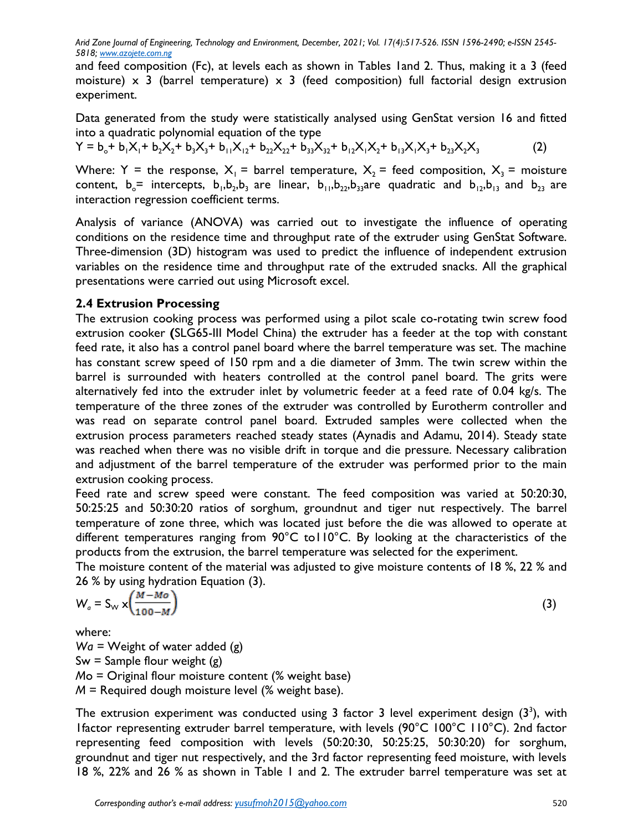and feed composition (Fc), at levels each as shown in Tables 1and 2. Thus, making it a 3 (feed moisture)  $\times$  3 (barrel temperature)  $\times$  3 (feed composition) full factorial design extrusion experiment.

Data generated from the study were statistically analysed using GenStat version 16 and fitted into a quadratic polynomial equation of the type

 $Y = b_0 + b_1X_1 + b_2X_2 + b_3X_3 + b_{11}X_{12} + b_{22}X_{22} + b_{33}X_{32} + b_{12}X_1X_2 + b_{13}X_1X_3 + b_{23}X_2X_3$  (2)

Where: Y = the response,  $X_1$  = barrel temperature,  $X_2$  = feed composition,  $X_3$  = moisture content,  $b_o$ = intercepts,  $b_1$ , $b_2$ , $b_3$  are linear,  $b_{11}$ , $b_{22}$ , $b_{33}$ are quadratic and  $b_{12}$ , $b_{13}$  and  $b_{23}$  are interaction regression coefficient terms.

Analysis of variance (ANOVA) was carried out to investigate the influence of operating conditions on the residence time and throughput rate of the extruder using GenStat Software. Three-dimension (3D) histogram was used to predict the influence of independent extrusion variables on the residence time and throughput rate of the extruded snacks. All the graphical presentations were carried out using Microsoft excel.

## **2.4 Extrusion Processing**

The extrusion cooking process was performed using a pilot scale co-rotating twin screw food extrusion cooker **(**SLG65-III Model China) the extruder has a feeder at the top with constant feed rate, it also has a control panel board where the barrel temperature was set. The machine has constant screw speed of 150 rpm and a die diameter of 3mm. The twin screw within the barrel is surrounded with heaters controlled at the control panel board. The grits were alternatively fed into the extruder inlet by volumetric feeder at a feed rate of 0.04 kg/s. The temperature of the three zones of the extruder was controlled by Eurotherm controller and was read on separate control panel board. Extruded samples were collected when the extrusion process parameters reached steady states (Aynadis and Adamu, 2014). Steady state was reached when there was no visible drift in torque and die pressure. Necessary calibration and adjustment of the barrel temperature of the extruder was performed prior to the main extrusion cooking process.

Feed rate and screw speed were constant. The feed composition was varied at 50:20:30, 50:25:25 and 50:30:20 ratios of sorghum, groundnut and tiger nut respectively. The barrel temperature of zone three, which was located just before the die was allowed to operate at different temperatures ranging from 90°C to110°C. By looking at the characteristics of the products from the extrusion, the barrel temperature was selected for the experiment.

The moisture content of the material was adjusted to give moisture contents of 18 %, 22 % and 26 % by using hydration Equation (3).

$$
W_a = S_{\scriptscriptstyle \vee} \times \left( \frac{M - Mo}{100 - M} \right) \tag{3}
$$

where:

*Wa =* Weight of water added (g)  $Sw =$  Sample flour weight  $(g)$ *M*o = Original flour moisture content (% weight base) *M* = Required dough moisture level (% weight base).

The extrusion experiment was conducted using 3 factor 3 level experiment design  $(3^3)$ , with 1factor representing extruder barrel temperature, with levels (90°C 100°C 110°C). 2nd factor representing feed composition with levels (50:20:30, 50:25:25, 50:30:20) for sorghum, groundnut and tiger nut respectively, and the 3rd factor representing feed moisture, with levels 18 %, 22% and 26 % as shown in Table 1 and 2. The extruder barrel temperature was set at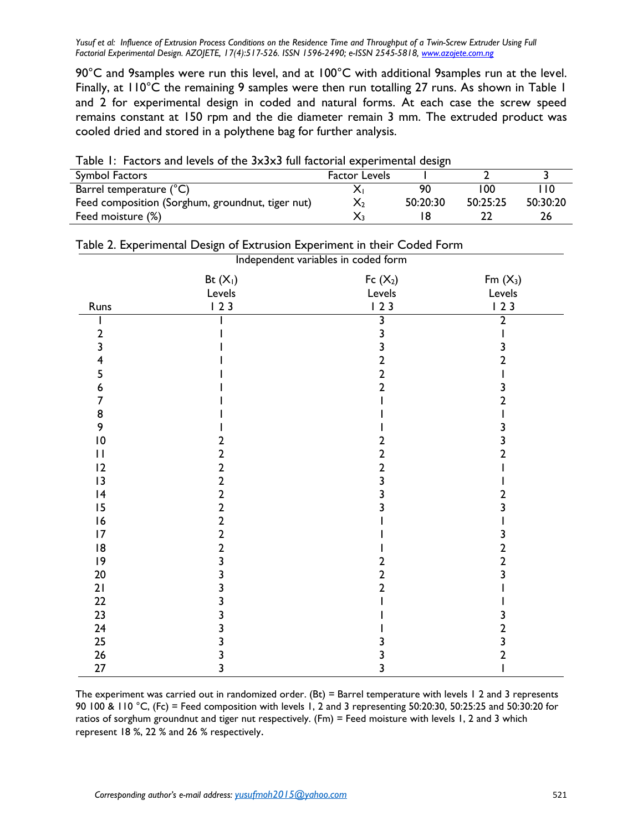90°C and 9samples were run this level, and at 100°C with additional 9samples run at the level. Finally, at 110°C the remaining 9 samples were then run totalling 27 runs. As shown in Table 1 and 2 for experimental design in coded and natural forms. At each case the screw speed remains constant at 150 rpm and the die diameter remain 3 mm. The extruded product was cooled dried and stored in a polythene bag for further analysis.

| Table T. Tactors and levels of the JXJXJ full factorial experimental design |                      |          |          |          |  |  |  |
|-----------------------------------------------------------------------------|----------------------|----------|----------|----------|--|--|--|
| Symbol Factors                                                              | <b>Factor Levels</b> |          |          |          |  |  |  |
| Barrel temperature (°C)                                                     |                      | 90       | 100      |          |  |  |  |
| Feed composition (Sorghum, groundnut, tiger nut)                            |                      | 50:20:30 | 50:25:25 | 50:30:20 |  |  |  |
| Feed moisture (%)                                                           |                      |          |          |          |  |  |  |

|  |  |  |  | Table 1: Factors and levels of the 3x3x3 full factorial experimental design |  |
|--|--|--|--|-----------------------------------------------------------------------------|--|
|  |  |  |  |                                                                             |  |

| Independent variables in coded form |                         |                         |                     |  |  |  |
|-------------------------------------|-------------------------|-------------------------|---------------------|--|--|--|
|                                     | Bt $(X_1)$<br>Levels    | Fc $(X_2)$<br>Levels    | $Fm(X_3)$<br>Levels |  |  |  |
| Runs                                | 123                     | 123                     | 123                 |  |  |  |
|                                     |                         | 3                       | 2                   |  |  |  |
| 2                                   |                         | 3                       |                     |  |  |  |
| 3                                   |                         | 3                       |                     |  |  |  |
| 4                                   |                         | $\overline{\mathbf{c}}$ | 2                   |  |  |  |
| 5                                   |                         | $\overline{2}$          |                     |  |  |  |
| 6                                   |                         | $\overline{2}$          |                     |  |  |  |
| 7                                   |                         |                         |                     |  |  |  |
| 8                                   |                         |                         |                     |  |  |  |
| 9                                   |                         |                         |                     |  |  |  |
| $\overline{10}$                     | 2                       | 2                       | 3                   |  |  |  |
| $\mathbf{I}$                        | $\overline{2}$          | $\overline{\mathbf{c}}$ | 2                   |  |  |  |
| 12                                  | $\overline{\mathbf{c}}$ | $\mathbf{2}$            |                     |  |  |  |
| 13                                  | $\overline{2}$          | 3                       |                     |  |  |  |
| 4                                   | $\overline{2}$          | 3                       | 2                   |  |  |  |
| 15                                  | $\overline{2}$          | 3                       | 3                   |  |  |  |
| 16                                  | $\overline{2}$          |                         |                     |  |  |  |
| 17                                  | $\overline{\mathbf{c}}$ |                         |                     |  |  |  |
| 8                                   | $\overline{2}$          |                         | 2                   |  |  |  |
| 9                                   | 3                       | 2                       | 2                   |  |  |  |
| $20\,$                              |                         | 2                       |                     |  |  |  |
| 21                                  | 3                       | $\overline{2}$          |                     |  |  |  |
| 22                                  | ٦                       |                         |                     |  |  |  |
| 23                                  |                         |                         |                     |  |  |  |
| 24                                  | 3                       |                         | 2                   |  |  |  |
| 25                                  |                         |                         |                     |  |  |  |
| 26                                  | 3                       |                         | 2                   |  |  |  |
| $27$                                | 3                       | 3                       |                     |  |  |  |

| Table 2. Experimental Design of Extrusion Experiment in their Coded Form |  |  |  |
|--------------------------------------------------------------------------|--|--|--|
|--------------------------------------------------------------------------|--|--|--|

The experiment was carried out in randomized order. (Bt) = Barrel temperature with levels 1 2 and 3 represents 90 100 & 110 °C, (Fc) = Feed composition with levels 1, 2 and 3 representing 50:20:30, 50:25:25 and 50:30:20 for ratios of sorghum groundnut and tiger nut respectively. (Fm) = Feed moisture with levels 1, 2 and 3 which represent 18 %, 22 % and 26 % respectively.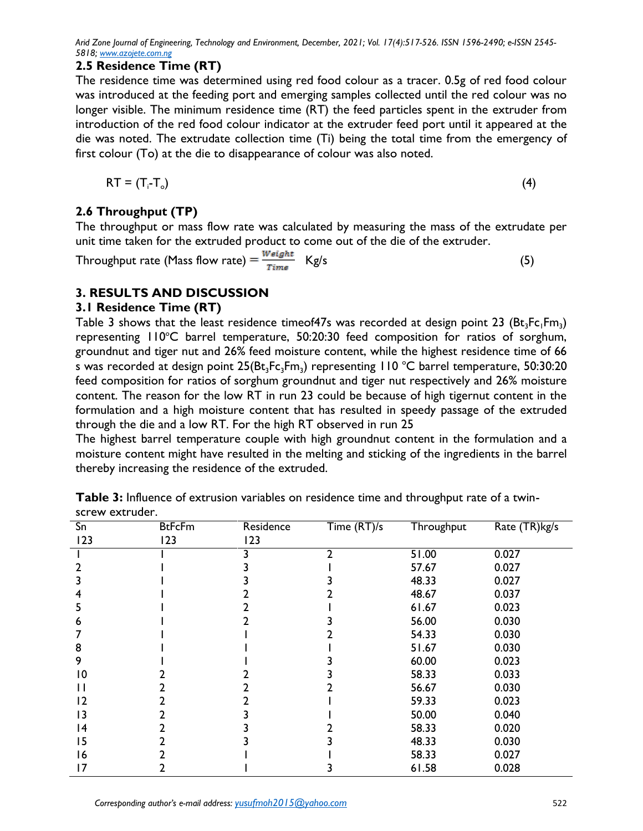#### **2.5 Residence Time (RT)**

The residence time was determined using red food colour as a tracer. 0.5g of red food colour was introduced at the feeding port and emerging samples collected until the red colour was no longer visible. The minimum residence time (RT) the feed particles spent in the extruder from introduction of the red food colour indicator at the extruder feed port until it appeared at the die was noted. The extrudate collection time (Ti) being the total time from the emergency of first colour (To) at the die to disappearance of colour was also noted.

$$
RT = (T_i - T_o) \tag{4}
$$

# **2.6 Throughput (TP)**

The throughput or mass flow rate was calculated by measuring the mass of the extrudate per unit time taken for the extruded product to come out of the die of the extruder.

Throughput rate (Mass flow rate)  $=\frac{Weight}{Time}$  Kg/s (5)

# **3. RESULTS AND DISCUSSION**

#### **3.1 Residence Time (RT)**

Table 3 shows that the least residence timeof47s was recorded at design point 23  $(Bt_3Fc_1Fm_3)$ representing  $110^{\circ}$ C barrel temperature, 50:20:30 feed composition for ratios of sorghum, groundnut and tiger nut and 26% feed moisture content, while the highest residence time of 66 s was recorded at design point  $25(Bt_3Fe_3Fm_3)$  representing 110 °C barrel temperature, 50:30:20 feed composition for ratios of sorghum groundnut and tiger nut respectively and 26% moisture content. The reason for the low RT in run 23 could be because of high tigernut content in the formulation and a high moisture content that has resulted in speedy passage of the extruded through the die and a low RT. For the high RT observed in run 25

The highest barrel temperature couple with high groundnut content in the formulation and a moisture content might have resulted in the melting and sticking of the ingredients in the barrel thereby increasing the residence of the extruded.

| Sn              | <b>BtFcFm</b> | Residence | Time (RT)/s | Throughput | Rate (TR)kg/s |
|-----------------|---------------|-----------|-------------|------------|---------------|
| 123             | 123           | 123       |             |            |               |
|                 |               |           | າ           | 51.00      | 0.027         |
|                 |               |           |             | 57.67      | 0.027         |
| 3               |               |           |             | 48.33      | 0.027         |
| 4               |               |           |             | 48.67      | 0.037         |
| 5               |               |           |             | 61.67      | 0.023         |
| 6               |               |           |             | 56.00      | 0.030         |
|                 |               |           |             | 54.33      | 0.030         |
| 8               |               |           |             | 51.67      | 0.030         |
| 9               |               |           |             | 60.00      | 0.023         |
| $\overline{10}$ |               |           |             | 58.33      | 0.033         |
| Ħ               |               |           |             | 56.67      | 0.030         |
| 12              |               |           |             | 59.33      | 0.023         |
| 13              |               |           |             | 50.00      | 0.040         |
| 4               |               |           |             | 58.33      | 0.020         |
| 15              |               |           |             | 48.33      | 0.030         |
| 16              |               |           |             | 58.33      | 0.027         |
| 17              |               |           |             | 61.58      | 0.028         |

**Table 3:** Influence of extrusion variables on residence time and throughput rate of a twinscrew extruder.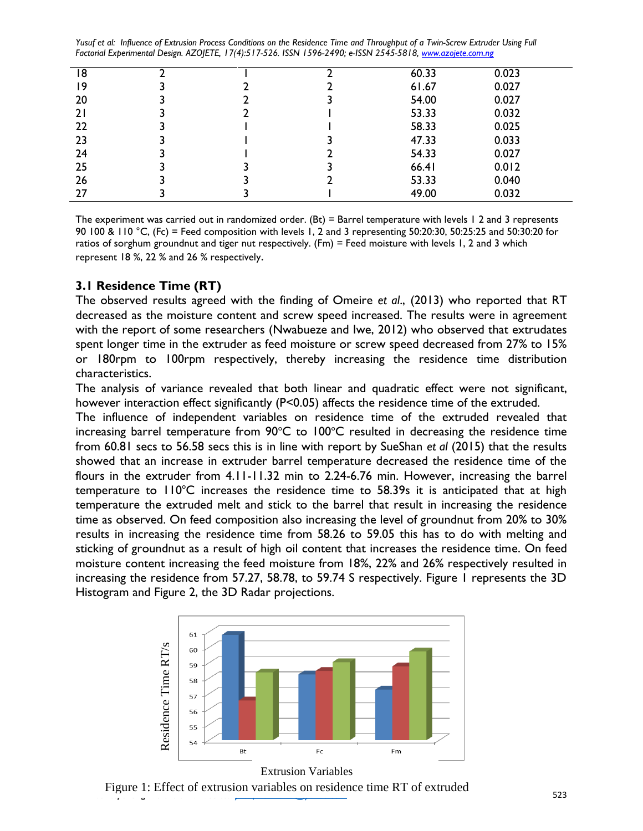| 18 |  | 60.33 | 0.023 |  |
|----|--|-------|-------|--|
| 9  |  | 61.67 | 0.027 |  |
| 20 |  | 54.00 | 0.027 |  |
| 21 |  | 53.33 | 0.032 |  |
| 22 |  | 58.33 | 0.025 |  |
| 23 |  | 47.33 | 0.033 |  |
| 24 |  | 54.33 | 0.027 |  |
| 25 |  | 66.41 | 0.012 |  |
| 26 |  | 53.33 | 0.040 |  |
| 27 |  | 49.00 | 0.032 |  |

The experiment was carried out in randomized order. (Bt) = Barrel temperature with levels 1 2 and 3 represents 90 100 & 110 °C, (Fc) = Feed composition with levels 1, 2 and 3 representing 50:20:30, 50:25:25 and 50:30:20 for ratios of sorghum groundnut and tiger nut respectively. (Fm) = Feed moisture with levels 1, 2 and 3 which represent 18 %, 22 % and 26 % respectively.

## **3.1 Residence Time (RT)**

The observed results agreed with the finding of Omeire *et al*., (2013) who reported that RT decreased as the moisture content and screw speed increased. The results were in agreement with the report of some researchers (Nwabueze and Iwe, 2012) who observed that extrudates spent longer time in the extruder as feed moisture or screw speed decreased from 27% to 15% or 180rpm to 100rpm respectively, thereby increasing the residence time distribution characteristics.

The analysis of variance revealed that both linear and quadratic effect were not significant, however interaction effect significantly (P<0.05) affects the residence time of the extruded.

The influence of independent variables on residence time of the extruded revealed that increasing barrel temperature from  $90^{\circ}C$  to  $100^{\circ}C$  resulted in decreasing the residence time from 60.81 secs to 56.58 secs this is in line with report by SueShan *et al* (2015) that the results showed that an increase in extruder barrel temperature decreased the residence time of the flours in the extruder from 4.11-11.32 min to 2.24-6.76 min. However, increasing the barrel temperature to  $110^{\circ}$ C increases the residence time to 58.39s it is anticipated that at high temperature the extruded melt and stick to the barrel that result in increasing the residence time as observed. On feed composition also increasing the level of groundnut from 20% to 30% results in increasing the residence time from 58.26 to 59.05 this has to do with melting and sticking of groundnut as a result of high oil content that increases the residence time. On feed moisture content increasing the feed moisture from 18%, 22% and 26% respectively resulted in increasing the residence from 57.27, 58.78, to 59.74 S respectively. Figure 1 represents the 3D Histogram and Figure 2, the 3D Radar projections.



Figure 1: Effect of extrusion variables on residence time RT of extruded<br>Figure 1: Effect of extrusion variables on residence time RT of extruded<br>523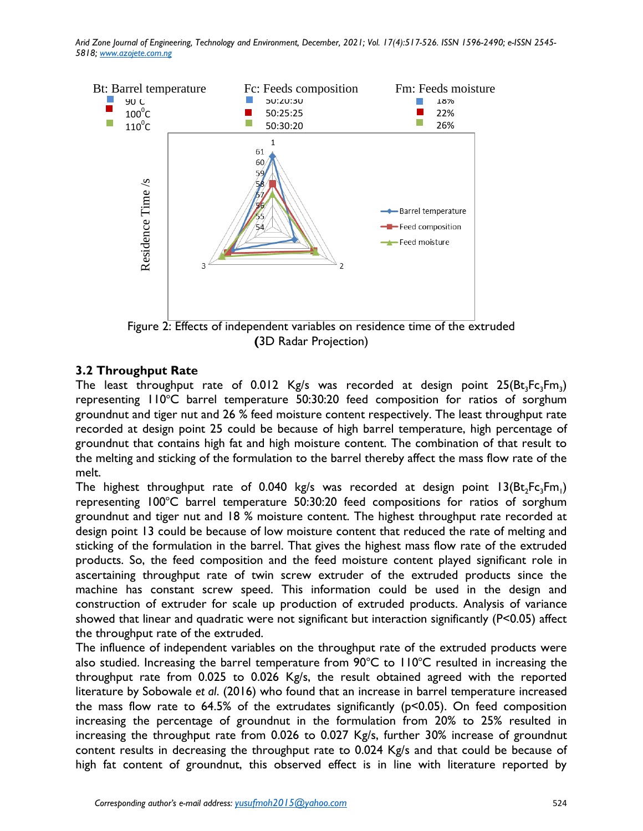

 **(**3D Radar Projection)

## **3.2 Throughput Rate**

The least throughput rate of 0.012 Kg/s was recorded at design point  $25(Bt_3Fc_3Fm_3)$ representing  $110^{\circ}$ C barrel temperature 50:30:20 feed composition for ratios of sorghum groundnut and tiger nut and 26 % feed moisture content respectively. The least throughput rate recorded at design point 25 could be because of high barrel temperature, high percentage of groundnut that contains high fat and high moisture content. The combination of that result to the melting and sticking of the formulation to the barrel thereby affect the mass flow rate of the melt.

The highest throughput rate of 0.040 kg/s was recorded at design point  $\mathsf{I3}(\mathsf{Bt}_2\mathsf{Fc}_3\mathsf{Fm}_1)$ representing  $100^{\circ}$ C barrel temperature 50:30:20 feed compositions for ratios of sorghum groundnut and tiger nut and 18 % moisture content. The highest throughput rate recorded at design point 13 could be because of low moisture content that reduced the rate of melting and sticking of the formulation in the barrel. That gives the highest mass flow rate of the extruded products. So, the feed composition and the feed moisture content played significant role in ascertaining throughput rate of twin screw extruder of the extruded products since the machine has constant screw speed. This information could be used in the design and construction of extruder for scale up production of extruded products. Analysis of variance showed that linear and quadratic were not significant but interaction significantly (P<0.05) affect the throughput rate of the extruded.

The influence of independent variables on the throughput rate of the extruded products were also studied. Increasing the barrel temperature from  $90^{\circ}$ C to  $110^{\circ}$ C resulted in increasing the throughput rate from 0.025 to 0.026 Kg/s, the result obtained agreed with the reported literature by Sobowale *et al*. (2016) who found that an increase in barrel temperature increased the mass flow rate to  $64.5\%$  of the extrudates significantly ( $p<0.05$ ). On feed composition increasing the percentage of groundnut in the formulation from 20% to 25% resulted in increasing the throughput rate from 0.026 to 0.027 Kg/s, further 30% increase of groundnut content results in decreasing the throughput rate to 0.024 Kg/s and that could be because of high fat content of groundnut, this observed effect is in line with literature reported by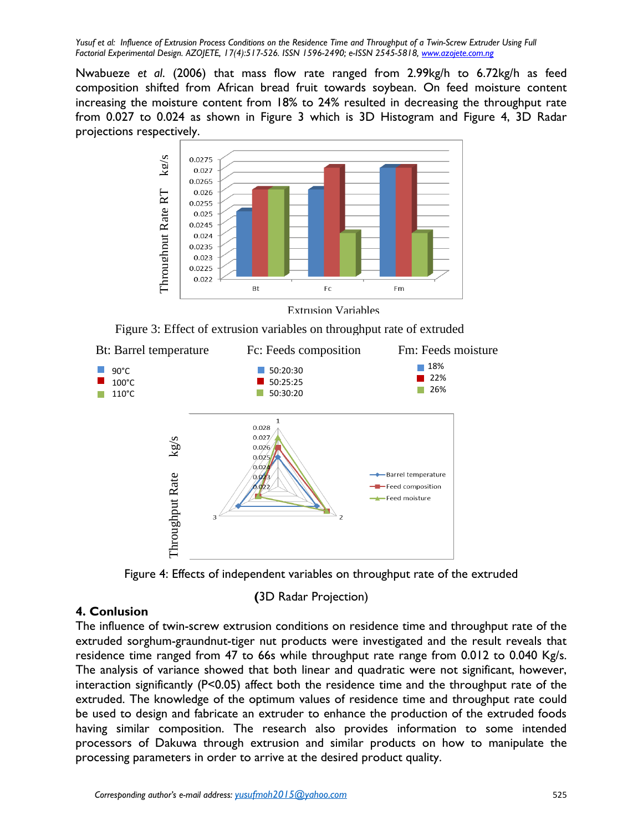Nwabueze *et al*. (2006) that mass flow rate ranged from 2.99kg/h to 6.72kg/h as feed composition shifted from African bread fruit towards soybean. On feed moisture content increasing the moisture content from 18% to 24% resulted in decreasing the throughput rate from 0.027 to 0.024 as shown in Figure 3 which is 3D Histogram and Figure 4, 3D Radar projections respectively.



Extrusion Variables

Figure 3: Effect of extrusion variables on throughput rate of extruded



Figure 4: Effects of independent variables on throughput rate of the extruded

 **(**3D Radar Projection)

## **4. Conlusion**

The influence of twin-screw extrusion conditions on residence time and throughput rate of the extruded sorghum-graundnut-tiger nut products were investigated and the result reveals that residence time ranged from 47 to 66s while throughput rate range from 0.012 to 0.040 Kg/s. The analysis of variance showed that both linear and quadratic were not significant, however, interaction significantly (P<0.05) affect both the residence time and the throughput rate of the extruded. The knowledge of the optimum values of residence time and throughput rate could be used to design and fabricate an extruder to enhance the production of the extruded foods having similar composition. The research also provides information to some intended processors of Dakuwa through extrusion and similar products on how to manipulate the processing parameters in order to arrive at the desired product quality.